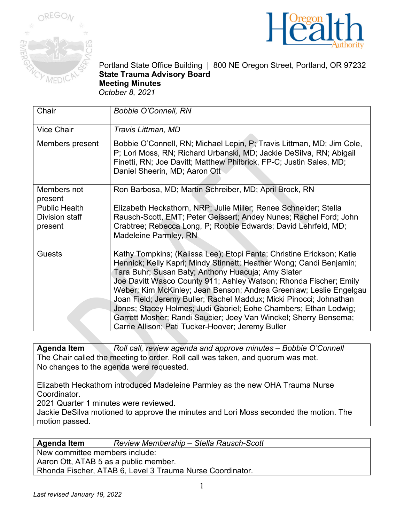



Portland State Office Building | 800 NE Oregon Street, Portland, OR 97232 **State Trauma Advisory Board Meeting Minutes**  *October 8, 2021*

| Chair                                             | <b>Bobbie O'Connell, RN</b>                                                                                                                                                                                                                                                                                                                                                                                                                                                                                                                                                                                      |
|---------------------------------------------------|------------------------------------------------------------------------------------------------------------------------------------------------------------------------------------------------------------------------------------------------------------------------------------------------------------------------------------------------------------------------------------------------------------------------------------------------------------------------------------------------------------------------------------------------------------------------------------------------------------------|
| <b>Vice Chair</b>                                 | Travis Littman, MD                                                                                                                                                                                                                                                                                                                                                                                                                                                                                                                                                                                               |
| Members present                                   | Bobbie O'Connell, RN; Michael Lepin, P; Travis Littman, MD; Jim Cole,<br>P; Lori Moss, RN; Richard Urbanski, MD; Jackie DeSilva, RN; Abigail<br>Finetti, RN; Joe Davitt; Matthew Philbrick, FP-C; Justin Sales, MD;<br>Daniel Sheerin, MD; Aaron Ott                                                                                                                                                                                                                                                                                                                                                             |
| Members not<br>present                            | Ron Barbosa, MD; Martin Schreiber, MD; April Brock, RN                                                                                                                                                                                                                                                                                                                                                                                                                                                                                                                                                           |
| <b>Public Health</b><br>Division staff<br>present | Elizabeth Heckathorn, NRP; Julie Miller; Renee Schneider; Stella<br>Rausch-Scott, EMT; Peter Geissert; Andey Nunes; Rachel Ford; John<br>Crabtree; Rebecca Long, P; Robbie Edwards; David Lehrfeld, MD;<br>Madeleine Parmley, RN                                                                                                                                                                                                                                                                                                                                                                                 |
| <b>Guests</b>                                     | Kathy Tompkins; (Kalissa Lee); Etopi Fanta; Christine Erickson; Katie<br>Hennick; Kelly Kapri; Mindy Stinnett; Heather Wong; Candi Benjamin;<br>Tara Buhr; Susan Baty; Anthony Huacuja; Amy Slater<br>Joe Davitt Wasco County 911; Ashley Watson; Rhonda Fischer; Emily<br>Weber; Kim McKinley; Jean Benson; Andrea Greenlaw; Leslie Engelgau<br>Joan Field; Jeremy Buller; Rachel Maddux; Micki Pinocci; Johnathan<br>Jones; Stacey Holmes; Judi Gabriel; Eohe Chambers; Ethan Lodwig;<br>Garrett Mosher; Randi Saucier; Joey Van Winckel; Sherry Bensema;<br>Carrie Allison; Pati Tucker-Hoover; Jeremy Buller |

**Agenda Item** *Roll call, review agenda and approve minutes – Bobbie O'Connell* The Chair called the meeting to order. Roll call was taken, and quorum was met. No changes to the agenda were requested.

Elizabeth Heckathorn introduced Madeleine Parmley as the new OHA Trauma Nurse Coordinator.

2021 Quarter 1 minutes were reviewed.

Jackie DeSilva motioned to approve the minutes and Lori Moss seconded the motion. The motion passed.

**Agenda Item** *Review Membership – Stella Rausch-Scott*

New committee members include:

Aaron Ott, ATAB 5 as a public member.

Rhonda Fischer, ATAB 6, Level 3 Trauma Nurse Coordinator.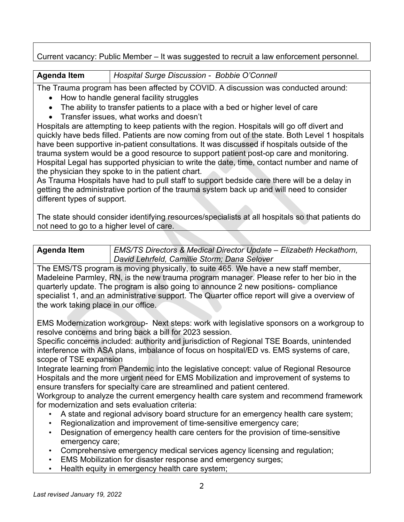## Current vacancy: Public Member – It was suggested to recruit a law enforcement personnel.

**Agenda Item** *Hospital Surge Discussion - Bobbie O'Connell*

The Trauma program has been affected by COVID. A discussion was conducted around:

- How to handle general facility struggles
- The ability to transfer patients to a place with a bed or higher level of care
- Transfer issues, what works and doesn't

Hospitals are attempting to keep patients with the region. Hospitals will go off divert and quickly have beds filled. Patients are now coming from out of the state. Both Level 1 hospitals have been supportive in-patient consultations. It was discussed if hospitals outside of the trauma system would be a good resource to support patient post-op care and monitoring. Hospital Legal has supported physician to write the date, time, contact number and name of the physician they spoke to in the patient chart.

As Trauma Hospitals have had to pull staff to support bedside care there will be a delay in getting the administrative portion of the trauma system back up and will need to consider different types of support.

The state should consider identifying resources/specialists at all hospitals so that patients do not need to go to a higher level of care.

| <b>Agenda Item</b> | EMS/TS Directors & Medical Director Update - Elizabeth Heckathorn, |
|--------------------|--------------------------------------------------------------------|
|                    | David Lehrfeld, Camillie Storm; Dana Selover                       |

The EMS/TS program is moving physically, to suite 465. We have a new staff member, Madeleine Parmley, RN, is the new trauma program manager. Please refer to her bio in the quarterly update. The program is also going to announce 2 new positions- compliance specialist 1, and an administrative support. The Quarter office report will give a overview of the work taking place in our office.

EMS Modernization workgroup- Next steps: work with legislative sponsors on a workgroup to resolve concerns and bring back a bill for 2023 session.

Specific concerns included: authority and jurisdiction of Regional TSE Boards, unintended interference with ASA plans, imbalance of focus on hospital/ED vs. EMS systems of care, scope of TSE expansion

Integrate learning from Pandemic into the legislative concept: value of Regional Resource Hospitals and the more urgent need for EMS Mobilization and improvement of systems to ensure transfers for specialty care are streamlined and patient centered.

Workgroup to analyze the current emergency health care system and recommend framework for modernization and sets evaluation criteria:

- A state and regional advisory board structure for an emergency health care system;
- Regionalization and improvement of time-sensitive emergency care;
- Designation of emergency health care centers for the provision of time-sensitive emergency care;
- Comprehensive emergency medical services agency licensing and regulation;
- EMS Mobilization for disaster response and emergency surges;
- Health equity in emergency health care system;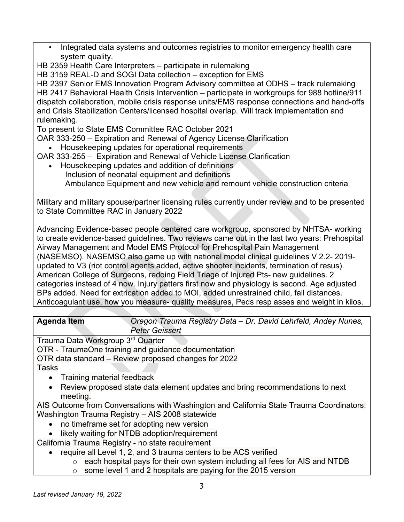- Integrated data systems and outcomes registries to monitor emergency health care system quality.
- HB 2359 Health Care Interpreters participate in rulemaking

HB 3159 REAL-D and SOGI Data collection – exception for EMS

HB 2397 Senior EMS Innovation Program Advisory committee at ODHS – track rulemaking HB 2417 Behavioral Health Crisis Intervention – participate in workgroups for 988 hotline/911 dispatch collaboration, mobile crisis response units/EMS response connections and hand-offs and Crisis Stabilization Centers/licensed hospital overlap. Will track implementation and rulemaking.

To present to State EMS Committee RAC October 2021

OAR 333-250 – Expiration and Renewal of Agency License Clarification

• Housekeeping updates for operational requirements

OAR 333-255 – Expiration and Renewal of Vehicle License Clarification

• Housekeeping updates and addition of definitions Inclusion of neonatal equipment and definitions Ambulance Equipment and new vehicle and remount vehicle construction criteria

Military and military spouse/partner licensing rules currently under review and to be presented to State Committee RAC in January 2022

Advancing Evidence-based people centered care workgroup, sponsored by NHTSA- working to create evidence-based guidelines. Two reviews came out in the last two years: Prehospital Airway Management and Model EMS Protocol for Prehospital Pain Management (NASEMSO). NASEMSO also game up with national model clinical guidelines V 2.2- 2019 updated to V3 (riot control agents added, active shooter incidents, termination of resus). American College of Surgeons, redoing Field Triage of Injured Pts- new guidelines. 2 categories instead of 4 now. Injury patters first now and physiology is second. Age adjusted BPs added. Need for extrication added to MOI, added unrestrained child, fall distances. Anticoagulant use, how you measure- quality measures, Peds resp asses and weight in kilos.

| <b>Agenda Item</b> | Oregon Trauma Registry Data - Dr. David Lehrfeld, Andey Nunes, |
|--------------------|----------------------------------------------------------------|
|                    | Peter Geissert                                                 |

Trauma Data Workgroup 3rd Quarter

OTR - TraumaOne training and guidance documentation

OTR data standard – Review proposed changes for 2022 Tasks

- Training material feedback
- Review proposed state data element updates and bring recommendations to next meeting.

AIS Outcome from Conversations with Washington and California State Trauma Coordinators: Washington Trauma Registry – AIS 2008 statewide

- no timeframe set for adopting new version
- likely waiting for NTDB adoption/requirement

California Trauma Registry - no state requirement

- require all Level 1, 2, and 3 trauma centers to be ACS verified
	- $\circ$  each hospital pays for their own system including all fees for AIS and NTDB
	- $\circ$  some level 1 and 2 hospitals are paying for the 2015 version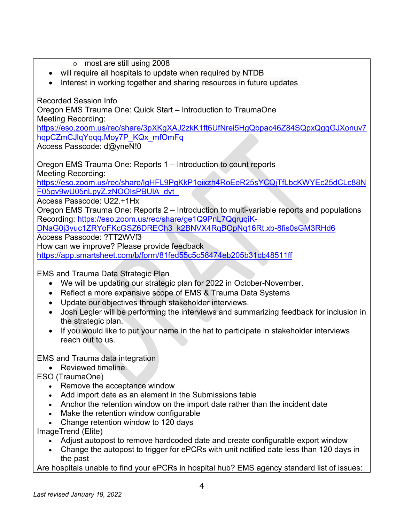- o most are still using 2008
- will require all hospitals to update when required by NTDB
- Interest in working together and sharing resources in future updates

Recorded Session Info

Oregon EMS Trauma One: Quick Start – Introduction to TraumaOne Meeting Recording:

[https://eso.zoom.us/rec/share/3pXKgXAJ2zkK1ft6UfNrei5HgQbpac46Z84SQpxQgqGJXonuv7](https://eso.zoom.us/rec/share/3pXKgXAJ2zkK1ft6UfNrei5HgQbpac46Z84SQpxQgqGJXonuv7hqpCZmCJlqYqqq.Moy7P_KQx_mfOmFq) hqpCZmCJlqYqqq.Mov7P\_KQx\_mfOmFq Access Passcode: d@yneN!0

Oregon EMS Trauma One: Reports 1 – Introduction to count reports Meeting Recording: [https://eso.zoom.us/rec/share/lgHFL9PgKkP1eixzh4RoEeR25sYCQjTfLbcKWYEc25dCLc88N](https://eso.zoom.us/rec/share/lgHFL9PgKkP1eixzh4RoEeR25sYCQjTfLbcKWYEc25dCLc88NF05gv9wU05nLpyZ.zNOOIsPBUlA_dyt_) [F05gv9wU05nLpyZ.zNOOIsPBUlA\\_dyt\\_](https://eso.zoom.us/rec/share/lgHFL9PgKkP1eixzh4RoEeR25sYCQjTfLbcKWYEc25dCLc88NF05gv9wU05nLpyZ.zNOOIsPBUlA_dyt_)

Access Passcode: U22.+1Hx

Oregon EMS Trauma One: Reports 2 – Introduction to multi-variable reports and populations Recording: [https://eso.zoom.us/rec/share/ge1Q9PnL7QqruqiK-](https://eso.zoom.us/rec/share/ge1Q9PnL7QqruqiK-DNaG0j3vuc1ZRYoFKcGSZ6DRECh3_k2BNVX4RqBOpNq16Rt.xb-8fis0sGM3RHd6)

[DNaG0j3vuc1ZRYoFKcGSZ6DRECh3\\_k2BNVX4RqBOpNq16Rt.xb-8fis0sGM3RHd6](https://eso.zoom.us/rec/share/ge1Q9PnL7QqruqiK-DNaG0j3vuc1ZRYoFKcGSZ6DRECh3_k2BNVX4RqBOpNq16Rt.xb-8fis0sGM3RHd6)

Access Passcode: ?TT2WVf3

How can we improve? Please provide feedback

<https://app.smartsheet.com/b/form/81fed55c5c58474eb205b31cb48511ff>

EMS and Trauma Data Strategic Plan

- We will be updating our strategic plan for 2022 in October-November.
- Reflect a more expansive scope of EMS & Trauma Data Systems
- Update our objectives through stakeholder interviews.
- Josh Legler will be performing the interviews and summarizing feedback for inclusion in the strategic plan.
- If you would like to put your name in the hat to participate in stakeholder interviews reach out to us.

EMS and Trauma data integration

• Reviewed timeline.

ESO (TraumaOne)

- Remove the acceptance window
- Add import date as an element in the Submissions table
- Anchor the retention window on the import date rather than the incident date
- Make the retention window configurable
- Change retention window to 120 days

ImageTrend (Elite)

- Adjust autopost to remove hardcoded date and create configurable export window
- Change the autopost to trigger for ePCRs with unit notified date less than 120 days in the past

Are hospitals unable to find your ePCRs in hospital hub? EMS agency standard list of issues: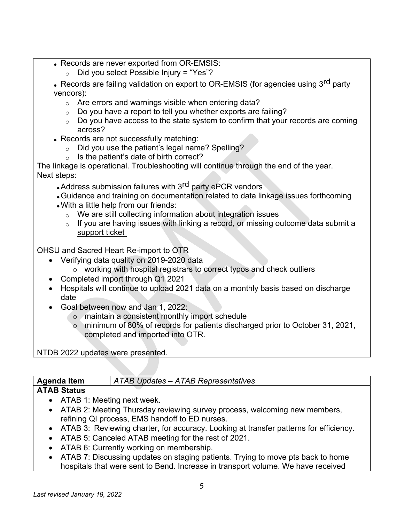- Records are never exported from OR-EMSIS:
	- $\circ$  Did you select Possible Injury = "Yes"?
- Records are failing validation on export to OR-EMSIS (for agencies using 3<sup>rd</sup> party vendors):
	- $\circ$  Are errors and warnings visible when entering data?
	- $\circ$  Do you have a report to tell you whether exports are failing?
	- $\circ$  Do you have access to the state system to confirm that your records are coming across?
- Records are not successfully matching:
	- $\circ$  Did you use the patient's legal name? Spelling?
	- $\circ$  Is the patient's date of birth correct?

The linkage is operational. Troubleshooting will continue through the end of the year. Next steps:

- Address submission failures with 3<sup>rd</sup> party ePCR vendors
- •Guidance and training on documentation related to data linkage issues forthcoming
- •With a little help from our friends:
	- $\circ$  We are still collecting information about integration issues
	- $\circ$  If you are having issues with linking a record, or missing outcome data submit a [support ticket](https://app.smartsheet.com/b/form/36d565736e314e7981f4897528b1822f)

OHSU and Sacred Heart Re-import to OTR

- Verifying data quality on 2019-2020 data
	- o working with hospital registrars to correct typos and check outliers
- Completed import through Q1 2021
- Hospitals will continue to upload 2021 data on a monthly basis based on discharge date
- Goal between now and Jan 1, 2022:
	- o maintain a consistent monthly import schedule
	- o minimum of 80% of records for patients discharged prior to October 31, 2021, completed and imported into OTR.

## NTDB 2022 updates were presented.

| <b>Agenda Item</b> | ATAB Updates – ATAB Representatives |
|--------------------|-------------------------------------|
| <b>ATAB Status</b> |                                     |

- ATAB 1: Meeting next week.
- ATAB 2: Meeting Thursday reviewing survey process, welcoming new members, refining QI process, EMS handoff to ED nurses.
- ATAB 3: Reviewing charter, for accuracy. Looking at transfer patterns for efficiency.
- ATAB 5: Canceled ATAB meeting for the rest of 2021.
- ATAB 6: Currently working on membership.
- ATAB 7: Discussing updates on staging patients. Trying to move pts back to home hospitals that were sent to Bend. Increase in transport volume. We have received